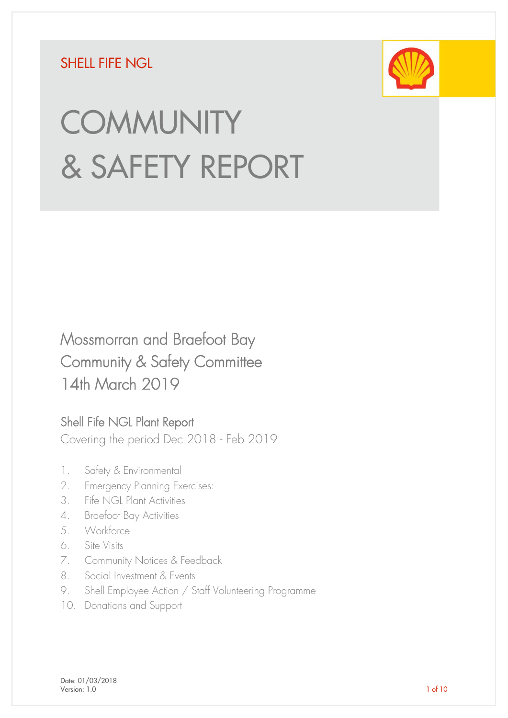## SHELL FIFF NGL



# **COMMUNITY** & SAFETY REPORT

## Mossmorran and Braefoot Bay Community & Safety Committee 14th March 2019

## Shell Fife NGL Plant Report

Covering the period Dec 2018 - Feb 2019

- 1. Safety & Environmental
- 2. Emergency Planning Exercises:
- 3. Fife NGL Plant Activities
- 4. Braefoot Bay Activities
- 5. Workforce
- 6. Site Visits
- 7. Community Notices & Feedback
- 8. Social Investment & Events
- 9. Shell Employee Action / Staff Volunteering Programme
- 10. Donations and Support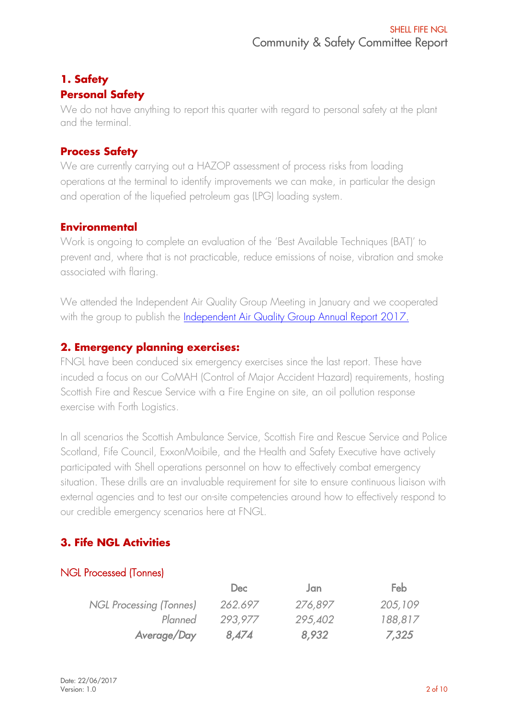#### **1. Safety Personal Safety**

We do not have anything to report this quarter with regard to personal safety at the plant and the terminal.

#### **Process Safety**

We are currently carrying out a HAZOP assessment of process risks from loading operations at the terminal to identify improvements we can make, in particular the design and operation of the liquefied petroleum gas (LPG) loading system.

#### **Environmental**

Work is ongoing to complete an evaluation of the 'Best Available Techniques (BAT)' to prevent and, where that is not practicable, reduce emissions of noise, vibration and smoke associated with flaring.

We attended the Independent Air Quality Group Meeting in January and we cooperated with the group to publish the *Independent Air Quality Group Annual Report 2017.* 

#### **2. Emergency planning exercises:**

FNGL have been conduced six emergency exercises since the last report. These have incuded a focus on our CoMAH (Control of Major Accident Hazard) requirements, hosting Scottish Fire and Rescue Service with a Fire Engine on site, an oil pollution response exercise with Forth Logistics.

In all scenarios the Scottish Ambulance Service, Scottish Fire and Rescue Service and Police Scotland, Fife Council, ExxonMoibile, and the Health and Safety Executive have actively participated with Shell operations personnel on how to effectively combat emergency situation. These drills are an invaluable requirement for site to ensure continuous liaison with external agencies and to test our on-site competencies around how to effectively respond to our credible emergency scenarios here at FNGL.

## **3. Fife NGL Activities**

#### NGL Processed (Tonnes)

|                         | Dec     | Jan     | Feb     |
|-------------------------|---------|---------|---------|
| NGL Processing (Tonnes) | 262.697 | 276,897 | 205,109 |
| Planned                 | 293,977 | 295,402 | 188,817 |
| Average/Day             | 8,474   | 8,932   | 7,325   |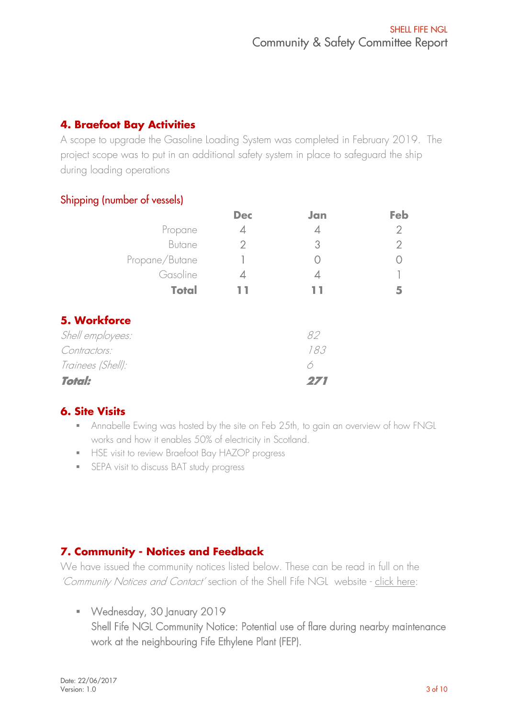## **4. Braefoot Bay Activities**

A scope to upgrade the Gasoline Loading System was completed in February 2019. The project scope was to put in an additional safety system in place to safeguard the ship during loading operations

#### Shipping (number of vessels)

|                   | <b>Dec</b>     | Jan | Feb            |
|-------------------|----------------|-----|----------------|
| Propane           | 4              | 4   | 2              |
| <b>Butane</b>     | $\overline{2}$ | 3   | $\overline{2}$ |
| Propane/Butane    |                |     |                |
| Gasoline          | 4              | 4   |                |
| <b>Total</b>      |                |     | 5              |
| 5. Workforce      |                |     |                |
| Shell employees:  |                | 82  |                |
| Contractors:      |                | 183 |                |
| Trainees (Shell): |                | 6   |                |
| <b>Total:</b>     |                |     |                |

## **6. Site Visits**

- **•** Annabelle Ewing was hosted by the site on Feb 25th, to gain an overview of how FNGL works and how it enables 50% of electricity in Scotland.
- **■** HSE visit to review Braefoot Bay HAZOP progress
- **•** SEPA visit to discuss BAT study progress

## **7. Community - Notices and Feedback**

We have issued the community notices listed below. These can be read in full on the 'Community Notices and Contact' section of the Shell Fife NGL website - [click here:](https://www.shell.co.uk/energy-and-innovation/meeting-todays-demands/processing-oil-and-gas/shell-fife-ngl/contact.html#iframe=L2Zvcm1zL2VuX2diX2NvbnRhY3R1cw==)

▪ Wednesday, 30 January 2019 Shell Fife NGL Community Notice: Potential use of flare during nearby maintenance work at the neighbouring Fife Ethylene Plant (FEP).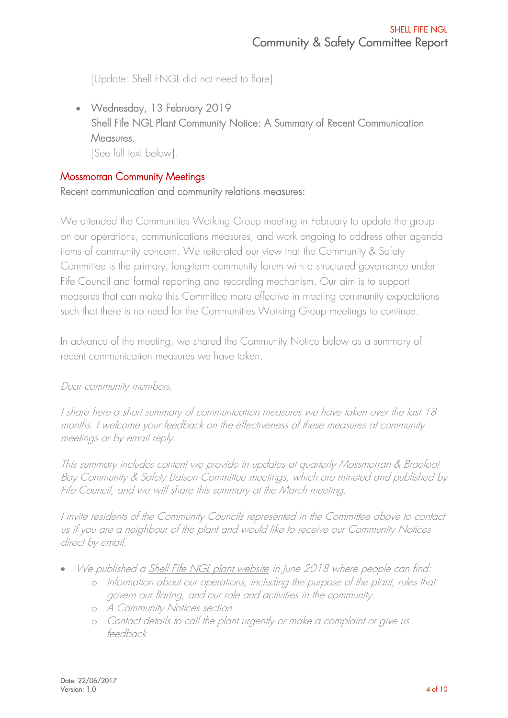[Update: Shell FNGL did not need to flare].

• Wednesday, 13 February 2019 Shell Fife NGL Plant Community Notice: A Summary of Recent Communication Measures. [See full text below].

#### Mossmorran Community Meetings

Recent communication and community relations measures:

We attended the Communities Working Group meeting in February to update the group on our operations, communications measures, and work ongoing to address other agenda items of community concern. We reiterated our view that the Community & Safety Committee is the primary, long-term community forum with a structured governance under Fife Council and formal reporting and recording mechanism. Our aim is to support measures that can make this Committee more effective in meeting community expectations such that there is no need for the Communities Working Group meetings to continue.

In advance of the meeting, we shared the Community Notice below as a summary of recent communication measures we have taken.

#### Dear community members,

I share here a short summary of communication measures we have taken over the last 18 months. I welcome your feedback on the effectiveness of these measures at community meetings or by email reply.

This summary includes content we provide in updates at quarterly Mossmorran & Braefoot Bay Community & Safety Liaison Committee meetings, which are minuted and published by Fife Council, and we will share this summary at the March meeting.

I invite residents of the Community Councils represented in the Committee above to contact us if you are a neighbour of the plant and would like to receive our Community Notices direct by email.

- We published [a Shell Fife NGL plant website](https://www.shell.co.uk/energy-and-innovation/meeting-todays-demands/processing-oil-and-gas/shell-fife-ngl.html) in June 2018 where people can find:
	- o Information about our operations, including the purpose of the plant, rules that govern our flaring, and our role and activities in the community.
	- o A Community Notices section
	- o Contact details to call the plant urgently or make a complaint or give us feedback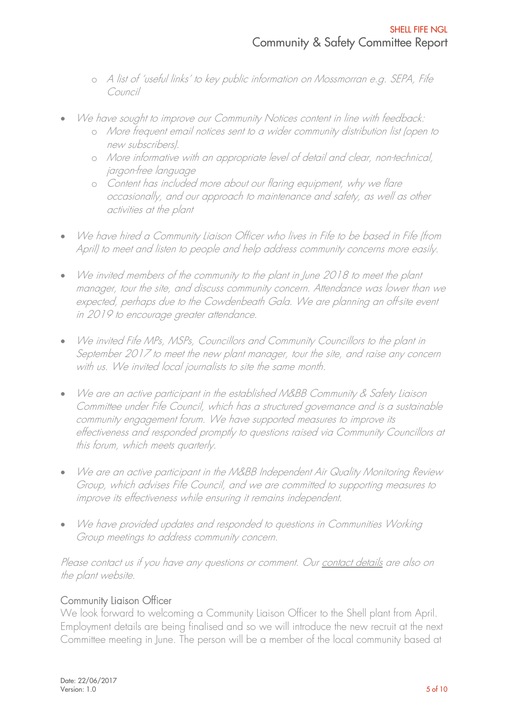- o A list of 'useful links' to key public information on Mossmorran e.g. SEPA, Fife Council
- We have sought to improve our Community Notices content in line with feedback:
	- o More frequent email notices sent to a wider community distribution list (open to new subscribers).
	- o More informative with an appropriate level of detail and clear, non-technical, jargon-free language
	- o Content has included more about our flaring equipment, why we flare occasionally, and our approach to maintenance and safety, as well as other activities at the plant
- We have hired a Community Liaison Officer who lives in Fife to be based in Fife (from April) to meet and listen to people and help address community concerns more easily.
- We invited members of the community to the plant in June 2018 to meet the plant manager, tour the site, and discuss community concern. Attendance was lower than we expected, perhaps due to the Cowdenbeath Gala. We are planning an off-site event in 2019 to encourage greater attendance.
- We invited Fife MPs, MSPs, Councillors and Community Councillors to the plant in September 2017 to meet the new plant manager, tour the site, and raise any concern with us. We invited local journalists to site the same month.
- We are an active participant in the established M&BB Community & Safety Liaison Committee under Fife Council, which has a structured governance and is a sustainable community engagement forum. We have supported measures to improve its effectiveness and responded promptly to questions raised via Community Councillors at this forum, which meets quarterly.
- We are an active participant in the M&BB Independent Air Quality Monitoring Review Group, which advises Fife Council, and we are committed to supporting measures to improve its effectiveness while ensuring it remains independent.
- We have provided updates and responded to questions in Communities Working Group meetings to address community concern.

Please contact us if you have any questions or comment. Ou[r contact details](https://emea01.safelinks.protection.outlook.com/?url=https%3A%2F%2Fwww.shell.co.uk%2Fenergy-and-innovation%2Fmeeting-todays-demands%2Fprocessing-oil-and-gas%2Fshell-fife-ngl%2Fcontact.html%23iframe%3DL2Zvcm1zL2VuX2diX2NvbnRhY3R1cw%3D%3Dhttps%3A%2F%2Fwww.shell.co.uk%2Fenergy-and-innovation%2Fmeeting-todays-demands%2Fprocessing-oil-and-gas%2Fshell-fife-ngl%2Fcontact.html&data=02%7C01%7CA.Rhodes%40shell.com%7Cf9acd61be5b24a15e7e408d5fe01fd3a%7Cdb1e96a8a3da442a930b235cac24cd5c%7C0%7C0%7C636694206876463147&sdata=uiRefYGAHVBBbPcfHRTd6alkQOatgrTVs%2Fg6PvHIqG8%3D&reserved=0) are also on the plant website.

#### Community Liaison Officer

We look forward to welcoming a Community Liaison Officer to the Shell plant from April. Employment details are being finalised and so we will introduce the new recruit at the next Committee meeting in June. The person will be a member of the local community based at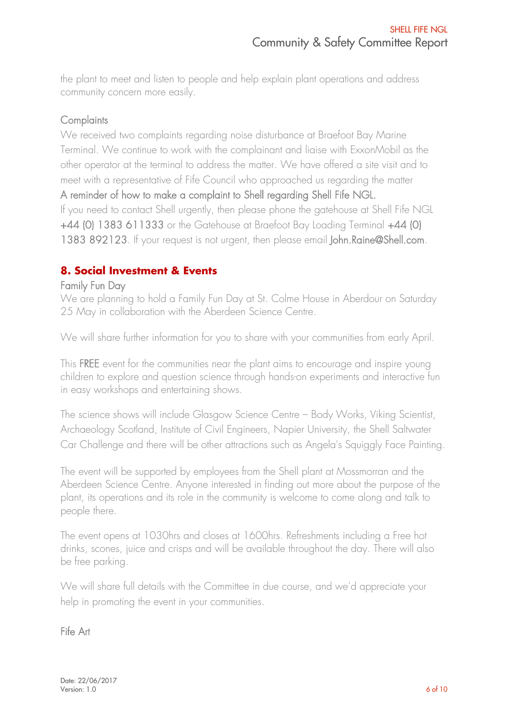the plant to meet and listen to people and help explain plant operations and address community concern more easily.

#### **Complaints**

We received two complaints regarding noise disturbance at Braefoot Bay Marine Terminal. We continue to work with the complainant and liaise with ExxonMobil as the other operator at the terminal to address the matter. We have offered a site visit and to meet with a representative of Fife Council who approached us regarding the matter A reminder of how to make a complaint to Shell regarding Shell Fife NGL. If you need to contact Shell urgently, then please phone the gatehouse at Shell Fife NGL +44 (0) 1383 611333 or the Gatehouse at Braefoot Bay Loading Terminal +44 (0) 1383 892123. If your request is not urgent, then please email John.Raine@Shell.com.

#### **8. Social Investment & Events**

#### Family Fun Day

We are planning to hold a Family Fun Day at St. Colme House in Aberdour on Saturday 25 May in collaboration with the Aberdeen Science Centre.

We will share further information for you to share with your communities from early April.

This FREE event for the communities near the plant aims to encourage and inspire young children to explore and question science through hands-on experiments and interactive fun in easy workshops and entertaining shows.

The science shows will include Glasgow Science Centre – Body Works, Viking Scientist, Archaeology Scotland, Institute of Civil Engineers, Napier University, the Shell Saltwater Car Challenge and there will be other attractions such as Angela's Squiggly Face Painting.

The event will be supported by employees from the Shell plant at Mossmorran and the Aberdeen Science Centre. Anyone interested in finding out more about the purpose of the plant, its operations and its role in the community is welcome to come along and talk to people there.

The event opens at 1030hrs and closes at 1600hrs. Refreshments including a Free hot drinks, scones, juice and crisps and will be available throughout the day. There will also be free parking.

We will share full details with the Committee in due course, and we'd appreciate your help in promoting the event in your communities.

#### Fife Art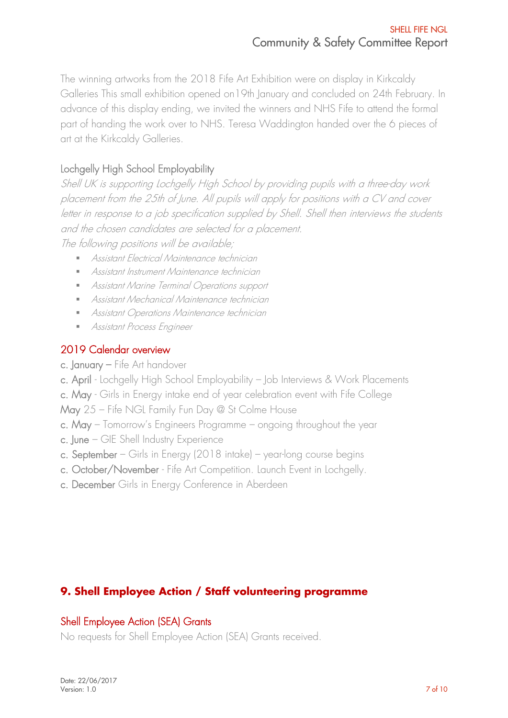The winning artworks from the 2018 Fife Art Exhibition were on display in Kirkcaldy Galleries This small exhibition opened on19th January and concluded on 24th February. In advance of this display ending, we invited the winners and NHS Fife to attend the formal part of handing the work over to NHS. Teresa Waddington handed over the 6 pieces of art at the Kirkcaldy Galleries.

## Lochgelly High School Employability

Shell UK is supporting Lochgelly High School by providing pupils with a three-day work placement from the 25th of June. All pupils will apply for positions with a CV and cover letter in response to a job specification supplied by Shell. Shell then interviews the students and the chosen candidates are selected for a placement. The following positions will be available;

■ Assistant Electrical Maintenance technician

- Assistant Instrument Maintenance technician
- Assistant Marine Terminal Operations support
- Assistant Mechanical Maintenance technician
- Assistant Operations Maintenance technician
- **■** Assistant Process Engineer

#### 2019 Calendar overview

- c. January Fife Art handover
- c. April Lochgelly High School Employability Job Interviews & Work Placements
- c. May Girls in Energy intake end of year celebration event with Fife College

May 25 – Fife NGL Family Fun Day @ St Colme House

- c. May Tomorrow's Engineers Programme ongoing throughout the year
- c. June GIE Shell Industry Experience
- c. September Girls in Energy (2018 intake) year-long course begins
- c. October/November Fife Art Competition. Launch Event in Lochgelly.
- c. December Girls in Energy Conference in Aberdeen

## **9. Shell Employee Action / Staff volunteering programme**

#### Shell Employee Action (SEA) Grants

No requests for Shell Employee Action (SEA) Grants received.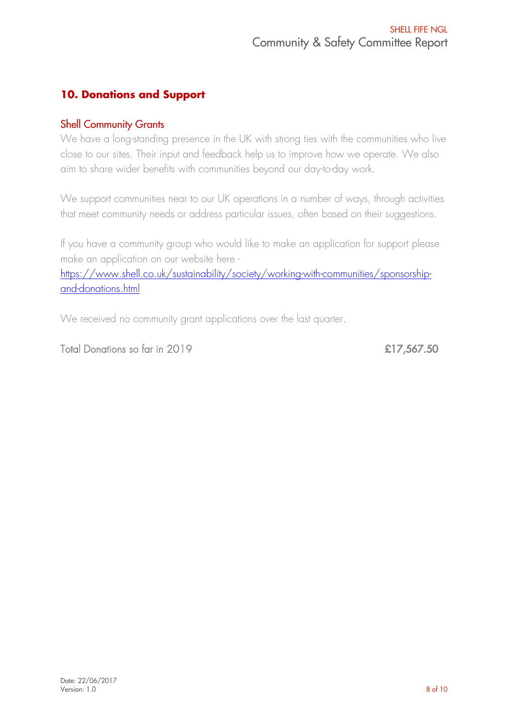## **10. Donations and Support**

#### Shell Community Grants

We have a long-standing presence in the UK with strong ties with the communities who live close to our sites. Their input and feedback help us to improve how we operate. We also aim to share wider benefits with communities beyond our day-to-day work.

We support communities near to our UK operations in a number of ways, through activities that meet community needs or address particular issues, often based on their suggestions.

If you have a community group who would like to make an application for support please make an application on our website here -

[https://www.shell.co.uk/sustainability/society/working-with-communities/sponsorship](https://www.shell.co.uk/sustainability/society/working-with-communities/sponsorship-and-donations.html)[and-donations.html](https://www.shell.co.uk/sustainability/society/working-with-communities/sponsorship-and-donations.html)

We received no community grant applications over the last quarter.

Total Donations so far in 2019 **E17,567.50**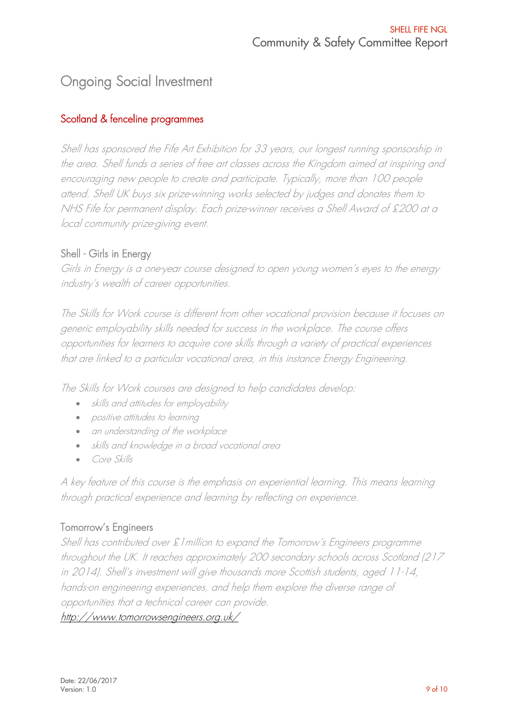## Ongoing Social Investment

#### Scotland & fenceline programmes

Shell has sponsored the Fife Art Exhibition for 33 years, our longest running sponsorship in the area. Shell funds a series of free art classes across the Kingdom aimed at inspiring and encouraging new people to create and participate. Typically, more than 100 people attend. Shell UK buys six prize-winning works selected by judges and donates them to NHS Fife for permanent display. Each prize-winner receives a Shell Award of £200 at a local community prize-giving event.

#### Shell - Girls in Energy

Girls in Energy is a one-year course designed to open young women's eyes to the energy industry's wealth of career opportunities.

The Skills for Work course is different from other vocational provision because it focuses on generic employability skills needed for success in the workplace. The course offers opportunities for learners to acquire core skills through a variety of practical experiences that are linked to a particular vocational area, in this instance Energy Engineering.

The Skills for Work courses are designed to help candidates develop:

- skills and attitudes for employability
- positive attitudes to learning
- an understanding of the workplace
- skills and knowledge in a broad vocational area
- Core Skills

A key feature of this course is the emphasis on experiential learning. This means learning through practical experience and learning by reflecting on experience.

#### Tomorrow's Engineers

Shell has contributed over £1million to expand the Tomorrow's Engineers programme throughout the UK. It reaches approximately 200 secondary schools across Scotland (217 in 2014). Shell's investment will give thousands more Scottish students, aged 11-14, hands-on engineering experiences, and help them explore the diverse range of opportunities that a technical career can provide.

#### <http://www.tomorrowsengineers.org.uk/>